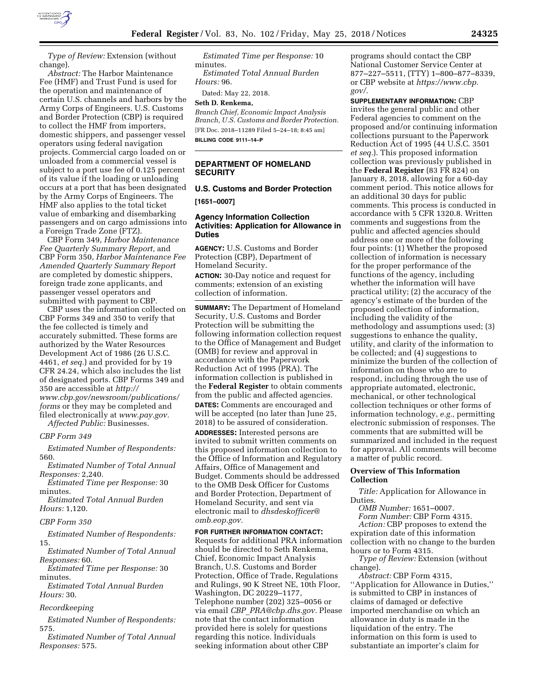

*Type of Review:* Extension (without change).

*Abstract:* The Harbor Maintenance Fee (HMF) and Trust Fund is used for the operation and maintenance of certain U.S. channels and harbors by the Army Corps of Engineers. U.S. Customs and Border Protection (CBP) is required to collect the HMF from importers, domestic shippers, and passenger vessel operators using federal navigation projects. Commercial cargo loaded on or unloaded from a commercial vessel is subject to a port use fee of 0.125 percent of its value if the loading or unloading occurs at a port that has been designated by the Army Corps of Engineers. The HMF also applies to the total ticket value of embarking and disembarking passengers and on cargo admissions into a Foreign Trade Zone (FTZ).

CBP Form 349, *Harbor Maintenance Fee Quarterly Summary Report,* and CBP Form 350, *Harbor Maintenance Fee Amended Quarterly Summary Report*  are completed by domestic shippers, foreign trade zone applicants, and passenger vessel operators and submitted with payment to CBP.

CBP uses the information collected on CBP Forms 349 and 350 to verify that the fee collected is timely and accurately submitted. These forms are authorized by the Water Resources Development Act of 1986 (26 U.S.C. 4461, *et seq.*) and provided for by 19 CFR 24.24, which also includes the list of designated ports. CBP Forms 349 and 350 are accessible at *http:// www.cbp.gov/newsroom/publications/ forms* or they may be completed and filed electronically at *www.pay.gov. Affected Public:* Businesses.

*CBP Form 349* 

*Estimated Number of Respondents:*  560.

*Estimated Number of Total Annual Responses:* 2,240.

*Estimated Time per Response:* 30 minutes.

*Estimated Total Annual Burden Hours:* 1,120.

#### *CBP Form 350*

*Estimated Number of Respondents:*  15.

*Estimated Number of Total Annual Responses:* 60.

*Estimated Time per Response:* 30 minutes.

*Estimated Total Annual Burden Hours:* 30.

#### *Recordkeeping*

*Estimated Number of Respondents:*  575.

*Estimated Number of Total Annual Responses:* 575.

*Estimated Time per Response:* 10 minutes.

*Estimated Total Annual Burden Hours:* 96.

Dated: May 22, 2018.

## **Seth D. Renkema,**

*Branch Chief, Economic Impact Analysis Branch, U.S. Customs and Border Protection.*  [FR Doc. 2018–11289 Filed 5–24–18; 8:45 am] **BILLING CODE 9111–14–P** 

#### **DEPARTMENT OF HOMELAND SECURITY**

# **U.S. Customs and Border Protection [1651–0007]**

## **Agency Information Collection Activities: Application for Allowance in Duties**

**AGENCY:** U.S. Customs and Border Protection (CBP), Department of Homeland Security. **ACTION:** 30-Day notice and request for comments; extension of an existing collection of information.

**SUMMARY:** The Department of Homeland Security, U.S. Customs and Border Protection will be submitting the following information collection request to the Office of Management and Budget (OMB) for review and approval in accordance with the Paperwork Reduction Act of 1995 (PRA). The information collection is published in the **Federal Register** to obtain comments from the public and affected agencies. **DATES:** Comments are encouraged and will be accepted (no later than June 25, 2018) to be assured of consideration. **ADDRESSES:** Interested persons are invited to submit written comments on this proposed information collection to the Office of Information and Regulatory Affairs, Office of Management and Budget. Comments should be addressed to the OMB Desk Officer for Customs and Border Protection, Department of Homeland Security, and sent via electronic mail to *dhsdeskofficer@ omb.eop.gov.* 

**FOR FURTHER INFORMATION CONTACT:**  Requests for additional PRA information should be directed to Seth Renkema, Chief, Economic Impact Analysis Branch, U.S. Customs and Border Protection, Office of Trade, Regulations and Rulings, 90 K Street NE, 10th Floor, Washington, DC 20229–1177, Telephone number (202) 325–0056 or via email *CBP*\_*PRA@cbp.dhs.gov.* Please note that the contact information provided here is solely for questions regarding this notice. Individuals seeking information about other CBP

programs should contact the CBP National Customer Service Center at 877–227–5511, (TTY) 1–800–877–8339, or CBP website at *https://www.cbp. gov/.* 

**SUPPLEMENTARY INFORMATION:** CBP invites the general public and other Federal agencies to comment on the proposed and/or continuing information collections pursuant to the Paperwork Reduction Act of 1995 (44 U.S.C. 3501 *et seq.*). This proposed information collection was previously published in the **Federal Register** (83 FR 824) on January 8, 2018, allowing for a 60-day comment period. This notice allows for an additional 30 days for public comments. This process is conducted in accordance with 5 CFR 1320.8. Written comments and suggestions from the public and affected agencies should address one or more of the following four points: (1) Whether the proposed collection of information is necessary for the proper performance of the functions of the agency, including whether the information will have practical utility; (2) the accuracy of the agency's estimate of the burden of the proposed collection of information, including the validity of the methodology and assumptions used; (3) suggestions to enhance the quality, utility, and clarity of the information to be collected; and (4) suggestions to minimize the burden of the collection of information on those who are to respond, including through the use of appropriate automated, electronic, mechanical, or other technological collection techniques or other forms of information technology, *e.g.,* permitting electronic submission of responses. The comments that are submitted will be summarized and included in the request for approval. All comments will become a matter of public record.

## **Overview of This Information Collection**

*Title:* Application for Allowance in Duties.

*OMB Number:* 1651–0007.

*Form Number:* CBP Form 4315. *Action:* CBP proposes to extend the expiration date of this information collection with no change to the burden hours or to Form 4315.

*Type of Review:* Extension (without change).

*Abstract:* CBP Form 4315, ''Application for Allowance in Duties,'' is submitted to CBP in instances of claims of damaged or defective imported merchandise on which an allowance in duty is made in the liquidation of the entry. The information on this form is used to substantiate an importer's claim for